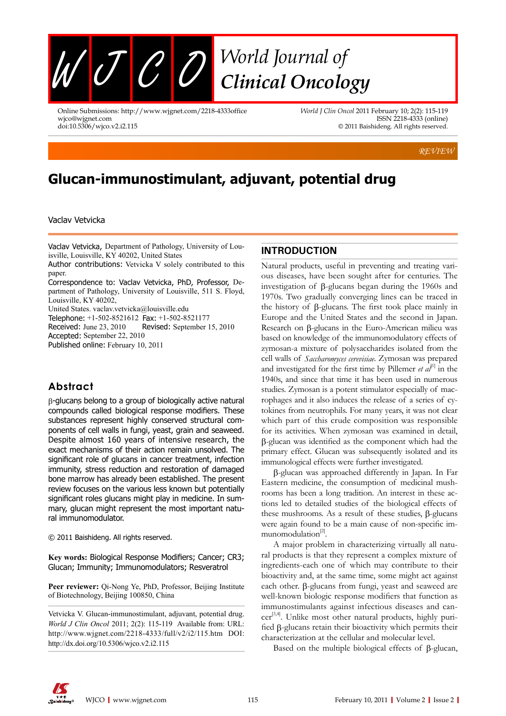

Online Submissions: http://www.wjgnet.com/2218-4333office wjco@wjgnet.com doi:10.5306/wjco.v2.i2.115

*World J Clin Oncol* 2011 February 10; 2(2): 115-119 ISSN 2218-4333 (online) © 2011 Baishideng. All rights reserved.

*REVIEW*

# **Glucan-immunostimulant, adjuvant, potential drug**

Vaclav Vetvicka

Vaclav Vetvicka, Department of Pathology, University of Louisville, Louisville, KY 40202, United States

Author contributions: Vetvicka V solely contributed to this paper.

Correspondence to: Vaclav Vetvicka, PhD, Professor, Department of Pathology, University of Louisville, 511 S. Floyd, Louisville, KY 40202,

United States. vaclav.vetvicka@louisville.edu

Telephone: +1-502-8521612 Fax: +1-502-8521177

Received: June 23, 2010 Revised: September 15, 2010 Accepted: September 22, 2010 Published online: February 10, 2011

## **Abstract**

β-glucans belong to a group of biologically active natural compounds called biological response modifiers. These substances represent highly conserved structural components of cell walls in fungi, yeast, grain and seaweed. Despite almost 160 years of intensive research, the exact mechanisms of their action remain unsolved. The significant role of glucans in cancer treatment, infection immunity, stress reduction and restoration of damaged bone marrow has already been established. The present review focuses on the various less known but potentially significant roles glucans might play in medicine. In summary, glucan might represent the most important natural immunomodulator.

© 2011 Baishideng. All rights reserved.

**Key words:** Biological Response Modifiers; Cancer; CR3; Glucan; Immunity; Immunomodulators; Resveratrol

**Peer reviewer:** Qi-Nong Ye, PhD, Professor, Beijing Institute of Biotechnology, Beijing 100850, China

Vetvicka V. Glucan-immunostimulant, adjuvant, potential drug. *World J Clin Oncol* 2011; 2(2): 115-119 Available from: URL: http://www.wjgnet.com/2218-4333/full/v2/i2/115.htm DOI: http://dx.doi.org/10.5306/wjco.v2.i2.115

## **INTRODUCTION**

Natural products, useful in preventing and treating various diseases, have been sought after for centuries. The investigation of β-glucans began during the 1960s and 1970s. Two gradually converging lines can be traced in the history of β-glucans. The first took place mainly in Europe and the United States and the second in Japan. Research on β-glucans in the Euro-American milieu was based on knowledge of the immunomodulatory effects of zymosan-a mixture of polysaccharides isolated from the cell walls of *Saccharomyces cerevisiae*. Zymosan was prepared and investigated for the first time by Pillemer  $et al^{1}$  in the 1940s, and since that time it has been used in numerous studies. Zymosan is a potent stimulator especially of macrophages and it also induces the release of a series of cytokines from neutrophils. For many years, it was not clear which part of this crude composition was responsible for its activities. When zymosan was examined in detail, β-glucan was identified as the component which had the primary effect. Glucan was subsequently isolated and its immunological effects were further investigated.

β-glucan was approached differently in Japan. In Far Eastern medicine, the consumption of medicinal mushrooms has been a long tradition. An interest in these actions led to detailed studies of the biological effects of these mushrooms. As a result of these studies, β-glucans were again found to be a main cause of non-specific immunomodulation<sup>[2]</sup>.

A major problem in characterizing virtually all natural products is that they represent a complex mixture of ingredients-each one of which may contribute to their bioactivity and, at the same time, some might act against each other. β-glucans from fungi, yeast and seaweed are well-known biologic response modifiers that function as immunostimulants against infectious diseases and can $cer^{[3,4]}$ . Unlike most other natural products, highly purified β-glucans retain their bioactivity which permits their characterization at the cellular and molecular level.

Based on the multiple biological effects of β-glucan,

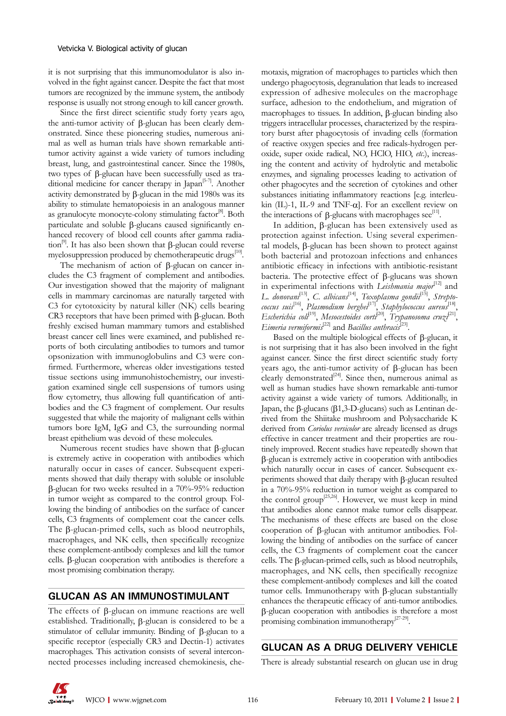it is not surprising that this immunomodulator is also involved in the fight against cancer. Despite the fact that most tumors are recognized by the immune system, the antibody response is usually not strong enough to kill cancer growth.

Since the first direct scientific study forty years ago, the anti-tumor activity of β-glucan has been clearly demonstrated. Since these pioneering studies, numerous animal as well as human trials have shown remarkable antitumor activity against a wide variety of tumors including breast, lung, and gastrointestinal cancer. Since the 1980s, two types of β-glucan have been successfully used as traditional medicine for cancer therapy in Japan<sup>[5-7]</sup>. Another activity demonstrated by β-glucan in the mid 1980s was its ability to stimulate hematopoiesis in an analogous manner as granulocyte monocyte-colony stimulating factor<sup>[8]</sup>. Both particulate and soluble β-glucans caused significantly enhanced recovery of blood cell counts after gamma radiation<sup>[9]</sup>. It has also been shown that β-glucan could reverse myelosuppression produced by chemotherapeutic drugs $^{[10]}$ .

The mechanism of action of β-glucan on cancer includes the C3 fragment of complement and antibodies. Our investigation showed that the majority of malignant cells in mammary carcinomas are naturally targeted with C3 for cytotoxicity by natural killer (NK) cells bearing CR3 receptors that have been primed with β-glucan. Both freshly excised human mammary tumors and established breast cancer cell lines were examined, and published reports of both circulating antibodies to tumors and tumor opsonization with immunoglobulins and C3 were confirmed. Furthermore, whereas older investigations tested tissue sections using immunohistochemistry, our investigation examined single cell suspensions of tumors using flow cytometry, thus allowing full quantification of antibodies and the C3 fragment of complement. Our results suggested that while the majority of malignant cells within tumors bore IgM, IgG and C3, the surrounding normal breast epithelium was devoid of these molecules.

Numerous recent studies have shown that β-glucan is extremely active in cooperation with antibodies which naturally occur in cases of cancer. Subsequent experiments showed that daily therapy with soluble or insoluble β-glucan for two weeks resulted in a 70%-95% reduction in tumor weight as compared to the control group. Following the binding of antibodies on the surface of cancer cells, C3 fragments of complement coat the cancer cells. The β-glucan-primed cells, such as blood neutrophils, macrophages, and NK cells, then specifically recognize these complement-antibody complexes and kill the tumor cells. β-glucan cooperation with antibodies is therefore a most promising combination therapy.

#### **GLUCAN AS AN IMMUNOSTIMULANT**

The effects of β-glucan on immune reactions are well established. Traditionally, β-glucan is considered to be a stimulator of cellular immunity. Binding of β-glucan to a specific receptor (especially CR3 and Dectin-1) activates macrophages. This activation consists of several interconnected processes including increased chemokinesis, chemotaxis, migration of macrophages to particles which then undergo phagocytosis, degranulation that leads to increased expression of adhesive molecules on the macrophage surface, adhesion to the endothelium, and migration of macrophages to tissues. In addition, β-glucan binding also triggers intracellular processes, characterized by the respiratory burst after phagocytosis of invading cells (formation of reactive oxygen species and free radicals-hydrogen peroxide, super oxide radical, NO, HClO, HIO, *etc*.), increasing the content and activity of hydrolytic and metabolic enzymes, and signaling processes leading to activation of other phagocytes and the secretion of cytokines and other substances initiating inflammatory reactions [e.g. interleukin (IL)-1, IL-9 and TNF- $\alpha$ . For an excellent review on the interactions of  $\beta$ -glucans with macrophages see<sup>[11]</sup>.

In addition, β-glucan has been extensively used as protection against infection. Using several experimental models, β-glucan has been shown to protect against both bacterial and protozoan infections and enhances antibiotic efficacy in infections with antibiotic-resistant bacteria. The protective effect of β-glucans was shown in experimental infections with *Leishmania major*<sup>[12]</sup> and *L*. *donovani*[13], *C*. *albicans*[14], *Toxoplasma gondii*[15], *Streptococcus suis*[16], *Plasmodium berghei*[17], *Staphylococcus aureus*[18], *Escherichia coli*<sup>[19]</sup>, *Mesocestoides corti*<sup>[20]</sup>, *Trypanosoma cruzi*<sup>[21]</sup>, *Eimeria vermiformis*[22] and *Bacillus anthracis*[23].

Based on the multiple biological effects of β-glucan, it is not surprising that it has also been involved in the fight against cancer. Since the first direct scientific study forty years ago, the anti-tumor activity of β-glucan has been clearly demonstrated $[24]$ . Since then, numerous animal as well as human studies have shown remarkable anti-tumor activity against a wide variety of tumors. Additionally, in Japan, the β-glucans (β1,3-D-glucans) such as Lentinan derived from the Shiitake mushroom and Polysaccharide K derived from *Coriolus versicolor* are already licensed as drugs effective in cancer treatment and their properties are routinely improved. Recent studies have repeatedly shown that β-glucan is extremely active in cooperation with antibodies which naturally occur in cases of cancer. Subsequent experiments showed that daily therapy with β-glucan resulted in a 70%-95% reduction in tumor weight as compared to the control group<sup>[25,26]</sup>. However, we must keep in mind that antibodies alone cannot make tumor cells disappear. The mechanisms of these effects are based on the close cooperation of β-glucan with antitumor antibodies. Following the binding of antibodies on the surface of cancer cells, the C3 fragments of complement coat the cancer cells. The β-glucan-primed cells, such as blood neutrophils, macrophages, and NK cells, then specifically recognize these complement-antibody complexes and kill the coated tumor cells. Immunotherapy with β-glucan substantially enhances the therapeutic efficacy of anti-tumor antibodies. β-glucan cooperation with antibodies is therefore a most promising combination immunotherapy<sup>[27-29]</sup>.

## **GLUCAN AS A DRUG DELIVERY VEHICLE**

There is already substantial research on glucan use in drug

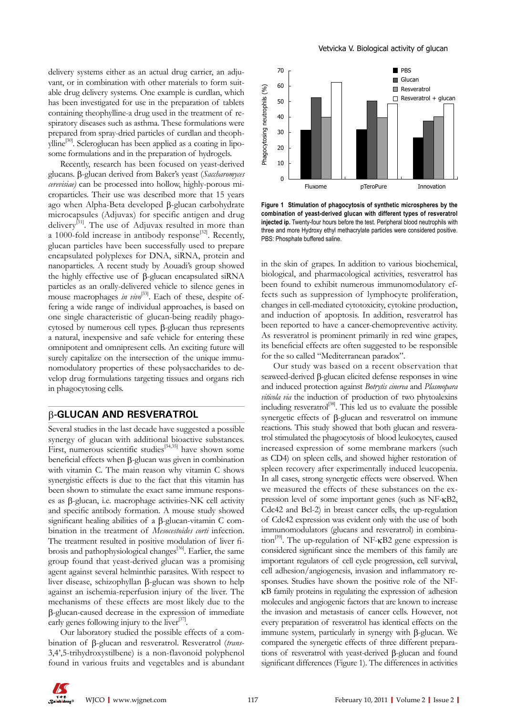delivery systems either as an actual drug carrier, an adjuvant, or in combination with other materials to form suitable drug delivery systems. One example is curdlan, which has been investigated for use in the preparation of tablets containing theophylline-a drug used in the treatment of respiratory diseases such as asthma. These formulations were prepared from spray-dried particles of curdlan and theoph $y\parallel$ ine<sup>[30]</sup>. Scleroglucan has been applied as a coating in liposome formulations and in the preparation of hydrogels.

Recently, research has been focused on yeast-derived glucans. β-glucan derived from Baker's yeast (*Saccharomyces cerevisiae)* can be processed into hollow, highly-porous microparticles. Their use was described more that 15 years ago when Alpha-Beta developed β-glucan carbohydrate microcapsules (Adjuvax) for specific antigen and drug delivery<sup>[31]</sup>. The use of Adjuvax resulted in more than a 1000-fold increase in antibody response<sup>[32]</sup>. Recently, glucan particles have been successfully used to prepare encapsulated polyplexes for DNA, siRNA, protein and nanoparticles. A recent study by Aouadi's group showed the highly effective use of β-glucan encapsulated siRNA particles as an orally-delivered vehicle to silence genes in mouse macrophages *in vivo*<sup>[33]</sup>. Each of these, despite offering a wide range of individual approaches, is based on one single characteristic of glucan-being readily phagocytosed by numerous cell types. β-glucan thus represents a natural, inexpensive and safe vehicle for entering these omnipotent and omnipresent cells. An exciting future will surely capitalize on the intersection of the unique immunomodulatory properties of these polysaccharides to develop drug formulations targeting tissues and organs rich in phagocytosing cells.

#### β**-GLUCAN AND RESVERATROL**

Several studies in the last decade have suggested a possible synergy of glucan with additional bioactive substances. First, numerous scientific studies<sup>[34,35]</sup> have shown some beneficial effects when β-glucan was given in combination with vitamin C. The main reason why vitamin C shows synergistic effects is due to the fact that this vitamin has been shown to stimulate the exact same immune responses as β-glucan, i.e. macrophage activities-NK cell activity and specific antibody formation. A mouse study showed significant healing abilities of a β-glucan-vitamin C combination in the treatment of *Mesocestoides corti* infection. The treatment resulted in positive modulation of liver fibrosis and pathophysiological changes<sup>[36]</sup>. Earlier, the same group found that yeast-derived glucan was a promising agent against several helminthic parasites. With respect to liver disease, schizophyllan β-glucan was shown to help against an ischemia-reperfusion injury of the liver. The mechanisms of these effects are most likely due to the β-glucan-caused decrease in the expression of immediate early genes following injury to the liver $\sum_{n=1}^{\infty}$ .

Our laboratory studied the possible effects of a combination of β-glucan and resveratrol. Resveratrol (*trans*-3,4',5-trihydroxystilbene) is a non-flavonoid polyphenol found in various fruits and vegetables and is abundant



**Figure 1 Stimulation of phagocytosis of synthetic microspheres by the combination of yeast-derived glucan with different types of resveratrol injected ip.** Twenty-four hours before the test. Peripheral blood neutrophils with three and more Hydroxy ethyl methacrylate particles were considered positive. PBS: Phosphate buffered saline.

in the skin of grapes. In addition to various biochemical, biological, and pharmacological activities, resveratrol has been found to exhibit numerous immunomodulatory effects such as suppression of lymphocyte proliferation, changes in cell-mediated cytotoxicity, cytokine production, and induction of apoptosis. In addition, resveratrol has been reported to have a cancer-chemopreventive activity. As resveratrol is prominent primarily in red wine grapes, its beneficial effects are often suggested to be responsible for the so called "Mediterranean paradox".

Our study was based on a recent observation that seaweed-derived β-glucan elicited defense responses in wine and induced protection against *Botrytis cinerea* and *Plasmopara viticola via* the induction of production of two phytoalexins including resveratrol<sup>[38]</sup>. This led us to evaluate the possible synergetic effects of β-glucan and resveratrol on immune reactions. This study showed that both glucan and resveratrol stimulated the phagocytosis of blood leukocytes, caused increased expression of some membrane markers (such as CD4) on spleen cells, and showed higher restoration of spleen recovery after experimentally induced leucopenia. In all cases, strong synergetic effects were observed. When we measured the effects of these substances on the expression level of some important genes (such as NF-κB2, Cdc42 and Bcl-2) in breast cancer cells, the up-regulation of Cdc42 expression was evident only with the use of both immunomodulators (glucans and resveratrol) in combination<sup>[39]</sup>. The up-regulation of NF- $\kappa$ B2 gene expression is considered significant since the members of this family are important regulators of cell cycle progression, cell survival, cell adhesion/angiogenesis, invasion and inflammatory responses. Studies have shown the positive role of the NFκB family proteins in regulating the expression of adhesion molecules and angiogenic factors that are known to increase the invasion and metastasis of cancer cells. However, not every preparation of resveratrol has identical effects on the immune system, particularly in synergy with β-glucan. We compared the synergetic effects of three different preparations of resveratrol with yeast-derived β-glucan and found significant differences (Figure 1). The differences in activities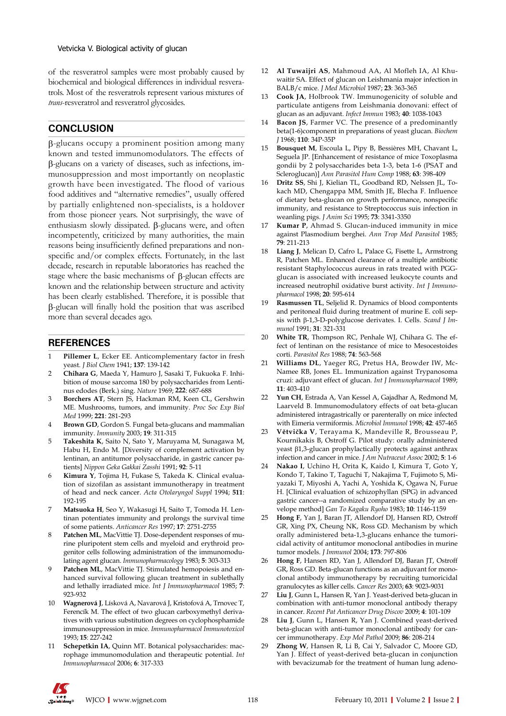of the resveratrol samples were most probably caused by biochemical and biological differences in individual resveratrols. Most of the resveratrols represent various mixtures of *trans*-resveratrol and resveratrol glycosides.

### **CONCLUSION**

β-glucans occupy a prominent position among many known and tested immunomodulators. The effects of β-glucans on a variety of diseases, such as infections, immunosuppression and most importantly on neoplastic growth have been investigated. The flood of various food additives and "alternative remedies", usually offered by partially enlightened non-specialists, is a holdover from those pioneer years. Not surprisingly, the wave of enthusiasm slowly dissipated. β-glucans were, and often incompetently, criticized by many authorities, the main reasons being insufficiently defined preparations and nonspecific and/or complex effects. Fortunately, in the last decade, research in reputable laboratories has reached the stage where the basic mechanisms of β-glucan effects are known and the relationship between structure and activity has been clearly established. Therefore, it is possible that β-glucan will finally hold the position that was ascribed more than several decades ago.

#### **REFERENCES**

- 1 **Pillemer L**, Ecker EE. Anticomplementary factor in fresh yeast. *J Biol Chem* 1941; **137**: 139-142
- 2 **Chihara G**, Maeda Y, Hamuro J, Sasaki T, Fukuoka F. Inhibition of mouse sarcoma 180 by polysaccharides from Lentinus edodes (Berk.) sing. *Nature* 1969; **222**: 687-688
- 3 **Borchers AT**, Stern JS, Hackman RM, Keen CL, Gershwin ME. Mushrooms, tumors, and immunity. *Proc Soc Exp Biol Med* 1999; **221**: 281-293
- **Brown GD**, Gordon S. Fungal beta-glucans and mammalian immunity. *Immunity* 2003; **19**: 311-315
- 5 **Takeshita K**, Saito N, Sato Y, Maruyama M, Sunagawa M, Habu H, Endo M. [Diversity of complement activation by lentinan, an antitumor polysaccharide, in gastric cancer patients] *Nippon Geka Gakkai Zasshi* 1991; **92**: 5-11
- 6 **Kimura Y**, Tojima H, Fukase S, Takeda K. Clinical evaluation of sizofilan as assistant immunotherapy in treatment of head and neck cancer. *Acta Otolaryngol Suppl* 1994; **511**: 192-195
- 7 **Matsuoka H**, Seo Y, Wakasugi H, Saito T, Tomoda H. Lentinan potentiates immunity and prolongs the survival time of some patients. *Anticancer Res* 1997; **17**: 2751-2755
- 8 **Patchen ML**, MacVittie TJ. Dose-dependent responses of murine pluripotent stem cells and myeloid and erythroid progenitor cells following administration of the immunomodulating agent glucan. *Immunopharmacology* 1983; **5**: 303-313
- Patchen ML, MacVittie TJ. Stimulated hemopoiesis and enhanced survival following glucan treatment in sublethally and lethally irradiated mice. *Int J Immunopharmacol* 1985; **7**: 923-932
- 10 **Wagnerová J**, Lísková A, Navarová J, Kristofová A, Trnovec T, Ferencík M. The effect of two glucan carboxymethyl derivatives with various substitution degrees on cyclophosphamide immunosuppression in mice. *Immunopharmacol Immunotoxicol* 1993; **15**: 227-242
- 11 **Schepetkin IA**, Quinn MT. Botanical polysaccharides: macrophage immunomodulation and therapeutic potential. *Int Immunopharmacol* 2006; **6**: 317-333
- 12 **Al Tuwaijri AS**, Mahmoud AA, Al Mofleh IA, Al Khuwaitir SA. Effect of glucan on Leishmania major infection in BALB/c mice. *J Med Microbiol* 1987; **23**: 363-365
- 13 **Cook JA**, Holbrook TW. Immunogenicity of soluble and particulate antigens from Leishmania donovani: effect of glucan as an adjuvant. *Infect Immun* 1983; **40**: 1038-1043
- 14 **Bacon JS**, Farmer VC. The presence of a predominantly beta(1-6)component in preparations of yeast glucan. *Biochem J* 1968; **110**: 34P-35P
- 15 **Bousquet M**, Escoula L, Pipy B, Bessières MH, Chavant L, Seguela JP. [Enhancement of resistance of mice Toxoplasma gondii by 2 polysaccharides beta 1-3, beta 1-6 (PSAT and Scleroglucan)] *Ann Parasitol Hum Comp* 1988; **63**: 398-409
- 16 **Dritz SS**, Shi J, Kielian TL, Goodband RD, Nelssen JL, Tokach MD, Chengappa MM, Smith JE, Blecha F. Influence of dietary beta-glucan on growth performance, nonspecific immunity, and resistance to Streptococcus suis infection in weanling pigs. *J Anim Sci* 1995; **73**: 3341-3350
- 17 **Kumar P**, Ahmad S. Glucan-induced immunity in mice against Plasmodium berghei. *Ann Trop Med Parasitol* 1985; **79**: 211-213
- 18 **Liang J**, Melican D, Cafro L, Palace G, Fisette L, Armstrong R, Patchen ML. Enhanced clearance of a multiple antibiotic resistant Staphylococcus aureus in rats treated with PGGglucan is associated with increased leukocyte counts and increased neutrophil oxidative burst activity. *Int J Immunopharmacol* 1998; **20**: 595-614
- Rasmussen TL, Seljelid R. Dynamics of blood compontents and peritoneal fluid during treatment of murine E. coli sepsis with β-1,3-D-polyglucose derivates. I. Cells. *Scand J Immunol* 1991; **31**: 321-331
- 20 **White TR**, Thompson RC, Penhale WJ, Chihara G. The effect of lentinan on the resistance of mice to Mesocestoides corti. *Parasitol Res* 1988; **74**: 563-568
- 21 **Williams DL**, Yaeger RG, Pretus HA, Browder IW, Mc-Namee RB, Jones EL. Immunization against Trypanosoma cruzi: adjuvant effect of glucan. *Int J Immunopharmacol* 1989; **11**: 403-410
- Yun CH, Estrada A, Van Kessel A, Gajadhar A, Redmond M, Laarveld B. Immunomodulatory effects of oat beta-glucan administered intragastrically or parenterally on mice infected with Eimeria vermiformis. *Microbiol Immunol* 1998; **42**: 457-465
- 23 **Větvička V**, Terayama K, Mandeville R, Brousseau P, Kournikakis B, Ostroff G. Pilot study: orally administered yeast β1,3-glucan prophylactically protects against anthrax infection and cancer in mice. *J Am Nutraceut Assoc* 2002; **5**: 1-6
- 24 **Nakao I**, Uchino H, Orita K, Kaido I, Kimura T, Goto Y, Kondo T, Takino T, Taguchi T, Nakajima T, Fujimoto S, Miyazaki T, Miyoshi A, Yachi A, Yoshida K, Ogawa N, Furue H. [Clinical evaluation of schizophyllan (SPG) in advanced gastric cancer--a randomized comparative study by an envelope method] *Gan To Kagaku Ryoho* 1983; **10**: 1146-1159
- 25 **Hong F**, Yan J, Baran JT, Allendorf DJ, Hansen RD, Ostroff GR, Xing PX, Cheung NK, Ross GD. Mechanism by which orally administered beta-1,3-glucans enhance the tumoricidal activity of antitumor monoclonal antibodies in murine tumor models. *J Immunol* 2004; **173**: 797-806
- 26 **Hong F**, Hansen RD, Yan J, Allendorf DJ, Baran JT, Ostroff GR, Ross GD. Beta-glucan functions as an adjuvant for monoclonal antibody immunotherapy by recruiting tumoricidal granulocytes as killer cells. *Cancer Res* 2003; **63**: 9023-9031
- 27 **Liu J**, Gunn L, Hansen R, Yan J. Yeast-derived beta-glucan in combination with anti-tumor monoclonal antibody therapy in cancer. *Recent Pat Anticancer Drug Discov* 2009; **4**: 101-109
- 28 **Liu J**, Gunn L, Hansen R, Yan J. Combined yeast-derived beta-glucan with anti-tumor monoclonal antibody for cancer immunotherapy. *Exp Mol Pathol* 2009; **86**: 208-214
- 29 **Zhong W**, Hansen R, Li B, Cai Y, Salvador C, Moore GD, Yan J. Effect of yeast-derived beta-glucan in conjunction with bevacizumab for the treatment of human lung adeno-